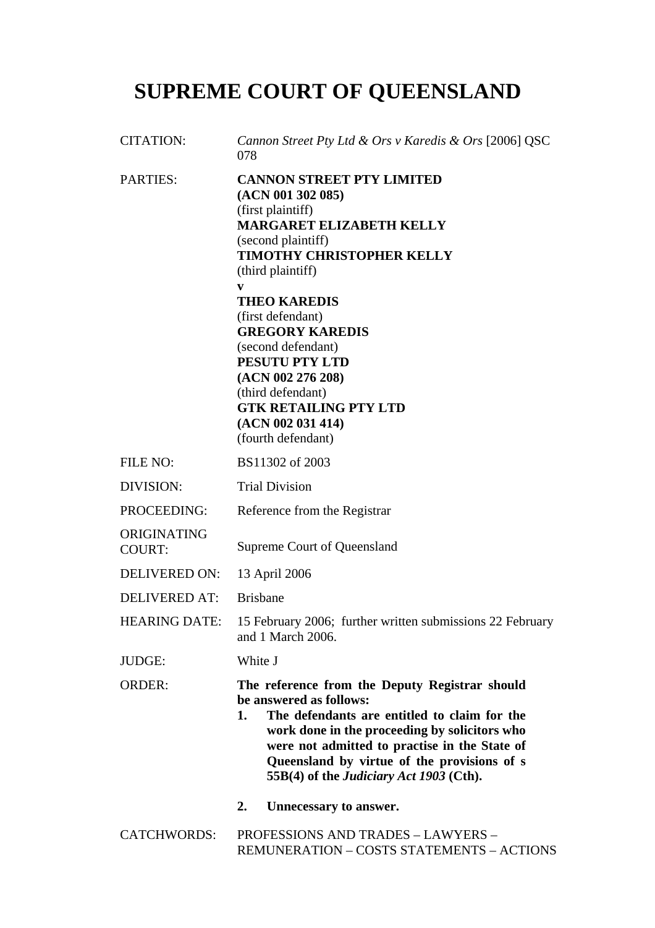# **SUPREME COURT OF QUEENSLAND**

| <b>CITATION:</b>             | Cannon Street Pty Ltd & Ors v Karedis & Ors [2006] QSC<br>078                                                                                                                                                                                                                                                                                                                                                                        |
|------------------------------|--------------------------------------------------------------------------------------------------------------------------------------------------------------------------------------------------------------------------------------------------------------------------------------------------------------------------------------------------------------------------------------------------------------------------------------|
| <b>PARTIES:</b>              | <b>CANNON STREET PTY LIMITED</b><br>(ACN 001 302 085)<br>(first plaintiff)<br><b>MARGARET ELIZABETH KELLY</b><br>(second plaintiff)<br><b>TIMOTHY CHRISTOPHER KELLY</b><br>(third plaintiff)<br>V<br><b>THEO KAREDIS</b><br>(first defendant)<br><b>GREGORY KAREDIS</b><br>(second defendant)<br>PESUTU PTY LTD<br>(ACN 002 276 208)<br>(third defendant)<br><b>GTK RETAILING PTY LTD</b><br>(ACN 002 031 414)<br>(fourth defendant) |
| <b>FILE NO:</b>              | BS11302 of 2003                                                                                                                                                                                                                                                                                                                                                                                                                      |
| DIVISION:                    | <b>Trial Division</b>                                                                                                                                                                                                                                                                                                                                                                                                                |
| PROCEEDING:                  | Reference from the Registrar                                                                                                                                                                                                                                                                                                                                                                                                         |
| ORIGINATING<br><b>COURT:</b> | Supreme Court of Queensland                                                                                                                                                                                                                                                                                                                                                                                                          |
| <b>DELIVERED ON:</b>         | 13 April 2006                                                                                                                                                                                                                                                                                                                                                                                                                        |
| <b>DELIVERED AT:</b>         | <b>Brisbane</b>                                                                                                                                                                                                                                                                                                                                                                                                                      |
| <b>HEARING DATE:</b>         | 15 February 2006; further written submissions 22 February<br>and 1 March 2006.                                                                                                                                                                                                                                                                                                                                                       |
| JUDGE:                       | White J                                                                                                                                                                                                                                                                                                                                                                                                                              |
| <b>ORDER:</b>                | The reference from the Deputy Registrar should<br>be answered as follows:<br>The defendants are entitled to claim for the<br>1.<br>work done in the proceeding by solicitors who<br>were not admitted to practise in the State of<br>Queensland by virtue of the provisions of s<br>55B(4) of the <i>Judiciary Act 1903</i> (Cth).                                                                                                   |
|                              | Unnecessary to answer.<br>2.                                                                                                                                                                                                                                                                                                                                                                                                         |
| <b>CATCHWORDS:</b>           | <b>PROFESSIONS AND TRADES - LAWYERS -</b><br>REMUNERATION - COSTS STATEMENTS - ACTIONS                                                                                                                                                                                                                                                                                                                                               |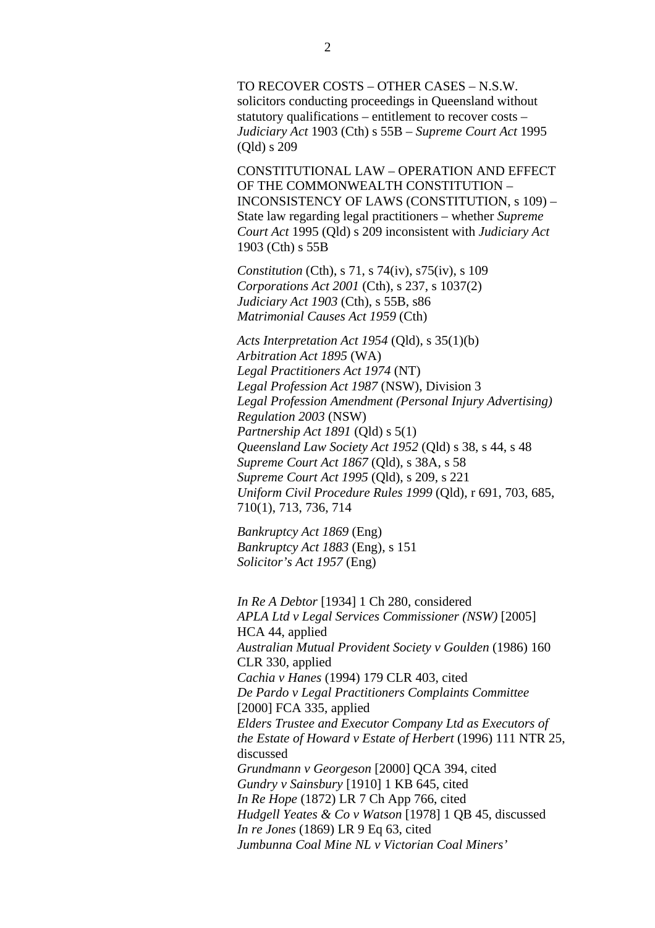TO RECOVER COSTS – OTHER CASES – N.S.W. solicitors conducting proceedings in Queensland without statutory qualifications – entitlement to recover costs – *Judiciary Act* 1903 (Cth) s 55B – *Supreme Court Act* 1995 (Qld) s 209

CONSTITUTIONAL LAW – OPERATION AND EFFECT OF THE COMMONWEALTH CONSTITUTION – INCONSISTENCY OF LAWS (CONSTITUTION, s 109) – State law regarding legal practitioners – whether *Supreme Court Act* 1995 (Qld) s 209 inconsistent with *Judiciary Act*  1903 (Cth) s 55B

*Constitution* (Cth), s 71, s 74(iv), s75(iv), s 109 *Corporations Act 2001* (Cth), s 237, s 1037(2) *Judiciary Act 1903* (Cth), s 55B, s86 *Matrimonial Causes Act 1959* (Cth)

*Acts Interpretation Act 1954* (Qld), s 35(1)(b) *Arbitration Act 1895* (WA) *Legal Practitioners Act 1974* (NT) *Legal Profession Act 1987* (NSW), Division 3 *Legal Profession Amendment (Personal Injury Advertising) Regulation 2003* (NSW) *Partnership Act 1891* (Qld) s 5(1) *Queensland Law Society Act 1952* (Qld) s 38, s 44, s 48 *Supreme Court Act 1867* (Qld), s 38A, s 58 *Supreme Court Act 1995* (Qld), s 209, s 221 *Uniform Civil Procedure Rules 1999* (Qld), r 691, 703, 685, 710(1), 713, 736, 714

*Bankruptcy Act 1869* (Eng) *Bankruptcy Act 1883* (Eng), s 151 *Solicitor's Act 1957* (Eng)

*In Re A Debtor* [1934] 1 Ch 280, considered *APLA Ltd v Legal Services Commissioner (NSW)* [2005] HCA 44, applied *Australian Mutual Provident Society v Goulden* (1986) 160 CLR 330, applied *Cachia v Hanes* (1994) 179 CLR 403, cited *De Pardo v Legal Practitioners Complaints Committee* [2000] FCA 335, applied *Elders Trustee and Executor Company Ltd as Executors of the Estate of Howard v Estate of Herbert* (1996) 111 NTR 25, discussed *Grundmann v Georgeson* [2000] QCA 394, cited *Gundry v Sainsbury* [1910] 1 KB 645, cited *In Re Hope* (1872) LR 7 Ch App 766, cited *Hudgell Yeates & Co v Watson* [1978] 1 QB 45, discussed *In re Jones* (1869) LR 9 Eq 63, cited *Jumbunna Coal Mine NL v Victorian Coal Miners'*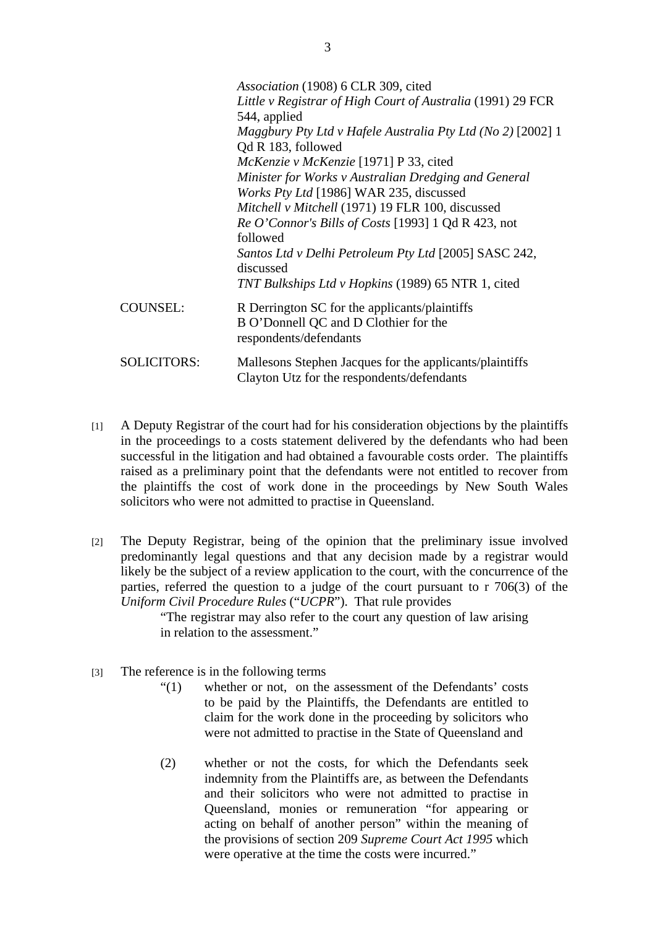|                    | Association (1908) 6 CLR 309, cited<br>Little v Registrar of High Court of Australia (1991) 29 FCR<br>544, applied                                                     |
|--------------------|------------------------------------------------------------------------------------------------------------------------------------------------------------------------|
|                    | Maggbury Pty Ltd v Hafele Australia Pty Ltd (No 2) [2002] 1<br>Qd R 183, followed                                                                                      |
|                    | McKenzie v McKenzie [1971] P 33, cited<br>Minister for Works v Australian Dredging and General<br><i>Works Pty Ltd</i> [1986] WAR 235, discussed                       |
|                    | Mitchell v Mitchell (1971) 19 FLR 100, discussed<br>Re O'Connor's Bills of Costs [1993] 1 Qd R 423, not                                                                |
|                    | followed<br>Santos Ltd v Delhi Petroleum Pty Ltd [2005] SASC 242,<br>discussed                                                                                         |
| <b>COUNSEL:</b>    | TNT Bulkships Ltd v Hopkins (1989) 65 NTR 1, cited<br>R Derrington SC for the applicants/plaintiffs<br>B O'Donnell QC and D Clothier for the<br>respondents/defendants |
| <b>SOLICITORS:</b> | Mallesons Stephen Jacques for the applicants/plaintiffs<br>Clayton Utz for the respondents/defendants                                                                  |

- [1] A Deputy Registrar of the court had for his consideration objections by the plaintiffs in the proceedings to a costs statement delivered by the defendants who had been successful in the litigation and had obtained a favourable costs order. The plaintiffs raised as a preliminary point that the defendants were not entitled to recover from the plaintiffs the cost of work done in the proceedings by New South Wales solicitors who were not admitted to practise in Queensland.
- [2] The Deputy Registrar, being of the opinion that the preliminary issue involved predominantly legal questions and that any decision made by a registrar would likely be the subject of a review application to the court, with the concurrence of the parties, referred the question to a judge of the court pursuant to r 706(3) of the *Uniform Civil Procedure Rules* ("*UCPR*"). That rule provides

"The registrar may also refer to the court any question of law arising in relation to the assessment."

- [3] The reference is in the following terms
	- "(1) whether or not, on the assessment of the Defendants' costs to be paid by the Plaintiffs, the Defendants are entitled to claim for the work done in the proceeding by solicitors who were not admitted to practise in the State of Queensland and
	- (2) whether or not the costs, for which the Defendants seek indemnity from the Plaintiffs are, as between the Defendants and their solicitors who were not admitted to practise in Queensland, monies or remuneration "for appearing or acting on behalf of another person" within the meaning of the provisions of section 209 *Supreme Court Act 1995* which were operative at the time the costs were incurred."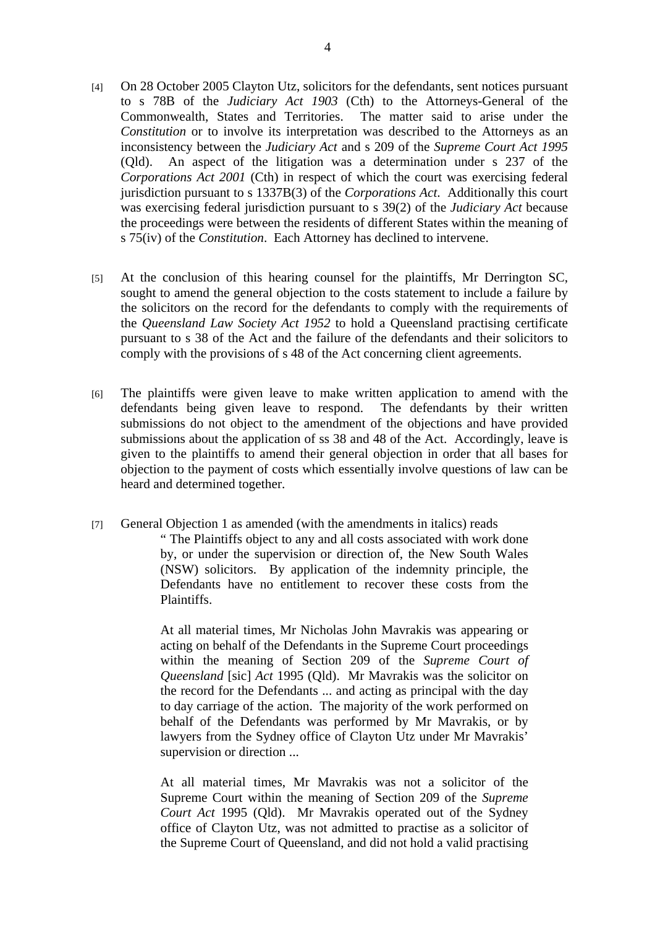- [4] On 28 October 2005 Clayton Utz, solicitors for the defendants, sent notices pursuant to s 78B of the *Judiciary Act 1903* (Cth) to the Attorneys-General of the Commonwealth, States and Territories. The matter said to arise under the *Constitution* or to involve its interpretation was described to the Attorneys as an inconsistency between the *Judiciary Act* and s 209 of the *Supreme Court Act 1995* (Qld). An aspect of the litigation was a determination under s 237 of the *Corporations Act 2001* (Cth) in respect of which the court was exercising federal jurisdiction pursuant to s 1337B(3) of the *Corporations Act*. Additionally this court was exercising federal jurisdiction pursuant to s 39(2) of the *Judiciary Act* because the proceedings were between the residents of different States within the meaning of s 75(iv) of the *Constitution*. Each Attorney has declined to intervene.
- [5] At the conclusion of this hearing counsel for the plaintiffs, Mr Derrington SC, sought to amend the general objection to the costs statement to include a failure by the solicitors on the record for the defendants to comply with the requirements of the *Queensland Law Society Act 1952* to hold a Queensland practising certificate pursuant to s 38 of the Act and the failure of the defendants and their solicitors to comply with the provisions of s 48 of the Act concerning client agreements.
- [6] The plaintiffs were given leave to make written application to amend with the defendants being given leave to respond. The defendants by their written submissions do not object to the amendment of the objections and have provided submissions about the application of ss 38 and 48 of the Act. Accordingly, leave is given to the plaintiffs to amend their general objection in order that all bases for objection to the payment of costs which essentially involve questions of law can be heard and determined together.
- [7] General Objection 1 as amended (with the amendments in italics) reads " The Plaintiffs object to any and all costs associated with work done by, or under the supervision or direction of, the New South Wales (NSW) solicitors. By application of the indemnity principle, the Defendants have no entitlement to recover these costs from the Plaintiffs.

At all material times, Mr Nicholas John Mavrakis was appearing or acting on behalf of the Defendants in the Supreme Court proceedings within the meaning of Section 209 of the *Supreme Court of Queensland* [sic] *Act* 1995 (Qld). Mr Mavrakis was the solicitor on the record for the Defendants ... and acting as principal with the day to day carriage of the action. The majority of the work performed on behalf of the Defendants was performed by Mr Mavrakis, or by lawyers from the Sydney office of Clayton Utz under Mr Mavrakis' supervision or direction ...

At all material times, Mr Mavrakis was not a solicitor of the Supreme Court within the meaning of Section 209 of the *Supreme Court Act* 1995 (Qld). Mr Mavrakis operated out of the Sydney office of Clayton Utz, was not admitted to practise as a solicitor of the Supreme Court of Queensland, and did not hold a valid practising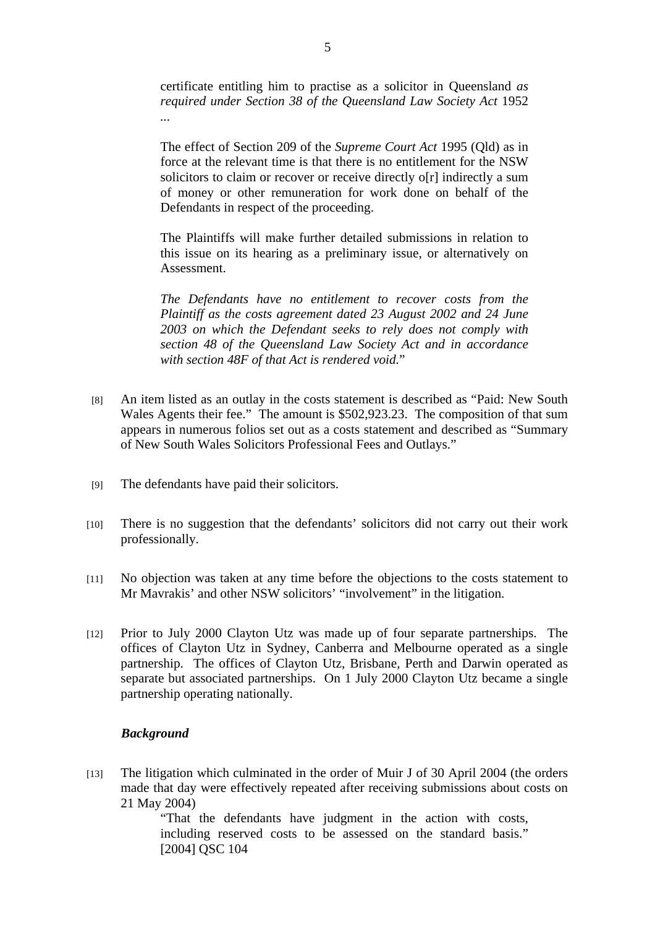certificate entitling him to practise as a solicitor in Queensland *as required under Section 38 of the Queensland Law Society Act* 1952 *...*

The effect of Section 209 of the *Supreme Court Act* 1995 (Qld) as in force at the relevant time is that there is no entitlement for the NSW solicitors to claim or recover or receive directly o[r] indirectly a sum of money or other remuneration for work done on behalf of the Defendants in respect of the proceeding.

The Plaintiffs will make further detailed submissions in relation to this issue on its hearing as a preliminary issue, or alternatively on Assessment.

*The Defendants have no entitlement to recover costs from the Plaintiff as the costs agreement dated 23 August 2002 and 24 June 2003 on which the Defendant seeks to rely does not comply with section 48 of the Queensland Law Society Act and in accordance with section 48F of that Act is rendered void.*"

- [8] An item listed as an outlay in the costs statement is described as "Paid: New South Wales Agents their fee." The amount is \$502,923.23. The composition of that sum appears in numerous folios set out as a costs statement and described as "Summary of New South Wales Solicitors Professional Fees and Outlays."
- [9] The defendants have paid their solicitors.
- [10] There is no suggestion that the defendants' solicitors did not carry out their work professionally.
- [11] No objection was taken at any time before the objections to the costs statement to Mr Mavrakis' and other NSW solicitors' "involvement" in the litigation.
- [12] Prior to July 2000 Clayton Utz was made up of four separate partnerships. The offices of Clayton Utz in Sydney, Canberra and Melbourne operated as a single partnership. The offices of Clayton Utz, Brisbane, Perth and Darwin operated as separate but associated partnerships. On 1 July 2000 Clayton Utz became a single partnership operating nationally.

## *Background*

[13] The litigation which culminated in the order of Muir J of 30 April 2004 (the orders made that day were effectively repeated after receiving submissions about costs on 21 May 2004)

> "That the defendants have judgment in the action with costs, including reserved costs to be assessed on the standard basis." [2004] QSC 104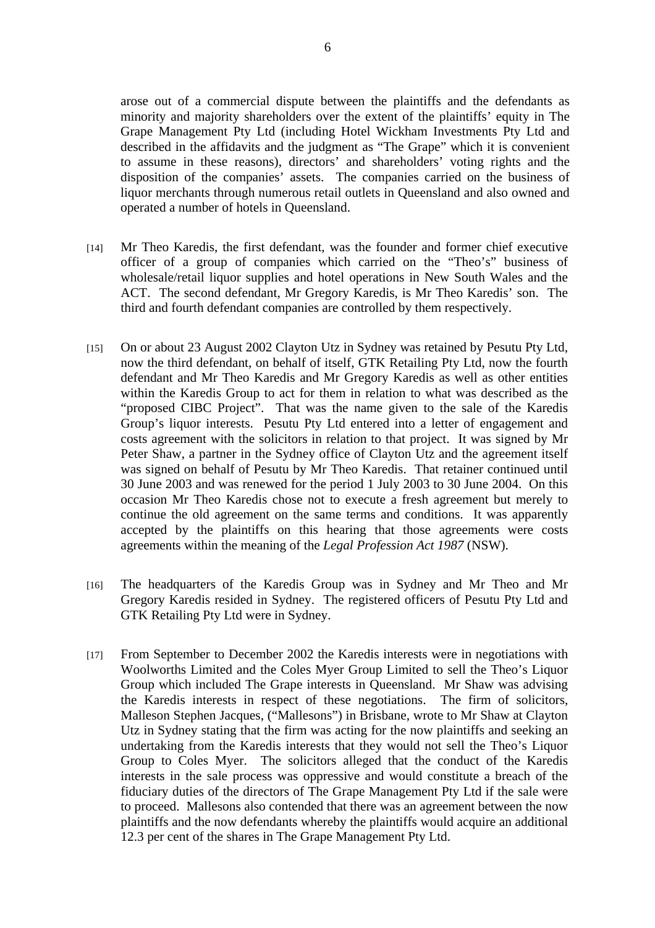arose out of a commercial dispute between the plaintiffs and the defendants as minority and majority shareholders over the extent of the plaintiffs' equity in The Grape Management Pty Ltd (including Hotel Wickham Investments Pty Ltd and described in the affidavits and the judgment as "The Grape" which it is convenient to assume in these reasons), directors' and shareholders' voting rights and the disposition of the companies' assets. The companies carried on the business of liquor merchants through numerous retail outlets in Queensland and also owned and operated a number of hotels in Queensland.

- [14] Mr Theo Karedis, the first defendant, was the founder and former chief executive officer of a group of companies which carried on the "Theo's" business of wholesale/retail liquor supplies and hotel operations in New South Wales and the ACT. The second defendant, Mr Gregory Karedis, is Mr Theo Karedis' son. The third and fourth defendant companies are controlled by them respectively.
- [15] On or about 23 August 2002 Clayton Utz in Sydney was retained by Pesutu Pty Ltd, now the third defendant, on behalf of itself, GTK Retailing Pty Ltd, now the fourth defendant and Mr Theo Karedis and Mr Gregory Karedis as well as other entities within the Karedis Group to act for them in relation to what was described as the "proposed CIBC Project". That was the name given to the sale of the Karedis Group's liquor interests. Pesutu Pty Ltd entered into a letter of engagement and costs agreement with the solicitors in relation to that project. It was signed by Mr Peter Shaw, a partner in the Sydney office of Clayton Utz and the agreement itself was signed on behalf of Pesutu by Mr Theo Karedis. That retainer continued until 30 June 2003 and was renewed for the period 1 July 2003 to 30 June 2004. On this occasion Mr Theo Karedis chose not to execute a fresh agreement but merely to continue the old agreement on the same terms and conditions. It was apparently accepted by the plaintiffs on this hearing that those agreements were costs agreements within the meaning of the *Legal Profession Act 1987* (NSW).
- [16] The headquarters of the Karedis Group was in Sydney and Mr Theo and Mr Gregory Karedis resided in Sydney. The registered officers of Pesutu Pty Ltd and GTK Retailing Pty Ltd were in Sydney.
- [17] From September to December 2002 the Karedis interests were in negotiations with Woolworths Limited and the Coles Myer Group Limited to sell the Theo's Liquor Group which included The Grape interests in Queensland. Mr Shaw was advising the Karedis interests in respect of these negotiations. The firm of solicitors, Malleson Stephen Jacques, ("Mallesons") in Brisbane, wrote to Mr Shaw at Clayton Utz in Sydney stating that the firm was acting for the now plaintiffs and seeking an undertaking from the Karedis interests that they would not sell the Theo's Liquor Group to Coles Myer. The solicitors alleged that the conduct of the Karedis interests in the sale process was oppressive and would constitute a breach of the fiduciary duties of the directors of The Grape Management Pty Ltd if the sale were to proceed. Mallesons also contended that there was an agreement between the now plaintiffs and the now defendants whereby the plaintiffs would acquire an additional 12.3 per cent of the shares in The Grape Management Pty Ltd.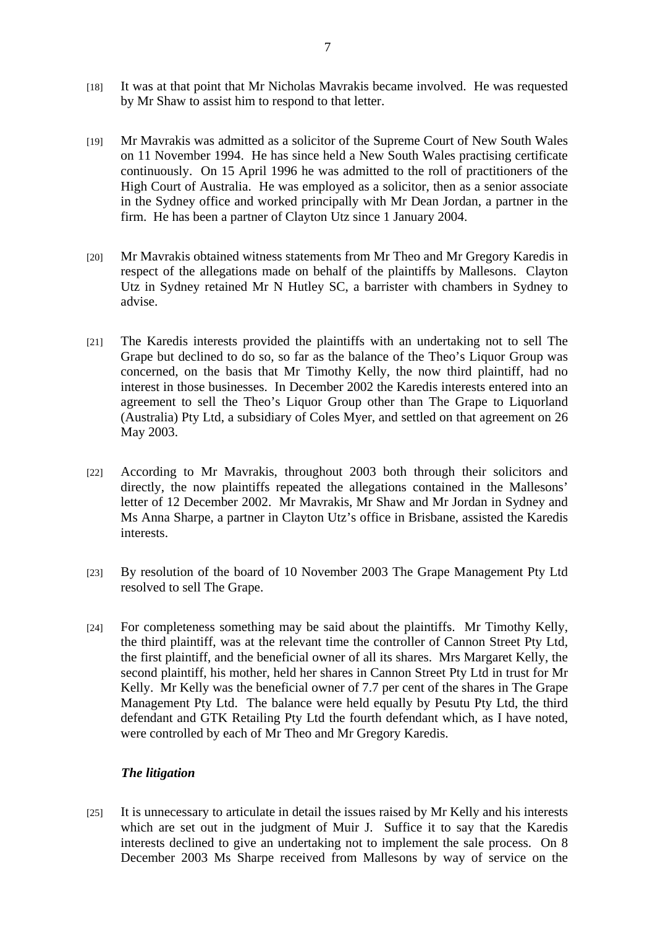- [18] It was at that point that Mr Nicholas Mavrakis became involved. He was requested by Mr Shaw to assist him to respond to that letter.
- [19] Mr Mavrakis was admitted as a solicitor of the Supreme Court of New South Wales on 11 November 1994. He has since held a New South Wales practising certificate continuously. On 15 April 1996 he was admitted to the roll of practitioners of the High Court of Australia. He was employed as a solicitor, then as a senior associate in the Sydney office and worked principally with Mr Dean Jordan, a partner in the firm. He has been a partner of Clayton Utz since 1 January 2004.
- [20] Mr Mavrakis obtained witness statements from Mr Theo and Mr Gregory Karedis in respect of the allegations made on behalf of the plaintiffs by Mallesons. Clayton Utz in Sydney retained Mr N Hutley SC, a barrister with chambers in Sydney to advise.
- [21] The Karedis interests provided the plaintiffs with an undertaking not to sell The Grape but declined to do so, so far as the balance of the Theo's Liquor Group was concerned, on the basis that Mr Timothy Kelly, the now third plaintiff, had no interest in those businesses. In December 2002 the Karedis interests entered into an agreement to sell the Theo's Liquor Group other than The Grape to Liquorland (Australia) Pty Ltd, a subsidiary of Coles Myer, and settled on that agreement on 26 May 2003.
- [22] According to Mr Mavrakis, throughout 2003 both through their solicitors and directly, the now plaintiffs repeated the allegations contained in the Mallesons' letter of 12 December 2002. Mr Mavrakis, Mr Shaw and Mr Jordan in Sydney and Ms Anna Sharpe, a partner in Clayton Utz's office in Brisbane, assisted the Karedis interests.
- [23] By resolution of the board of 10 November 2003 The Grape Management Pty Ltd resolved to sell The Grape.
- [24] For completeness something may be said about the plaintiffs. Mr Timothy Kelly, the third plaintiff, was at the relevant time the controller of Cannon Street Pty Ltd, the first plaintiff, and the beneficial owner of all its shares. Mrs Margaret Kelly, the second plaintiff, his mother, held her shares in Cannon Street Pty Ltd in trust for Mr Kelly. Mr Kelly was the beneficial owner of 7.7 per cent of the shares in The Grape Management Pty Ltd. The balance were held equally by Pesutu Pty Ltd, the third defendant and GTK Retailing Pty Ltd the fourth defendant which, as I have noted, were controlled by each of Mr Theo and Mr Gregory Karedis.

## *The litigation*

[25] It is unnecessary to articulate in detail the issues raised by Mr Kelly and his interests which are set out in the judgment of Muir J. Suffice it to say that the Karedis interests declined to give an undertaking not to implement the sale process. On 8 December 2003 Ms Sharpe received from Mallesons by way of service on the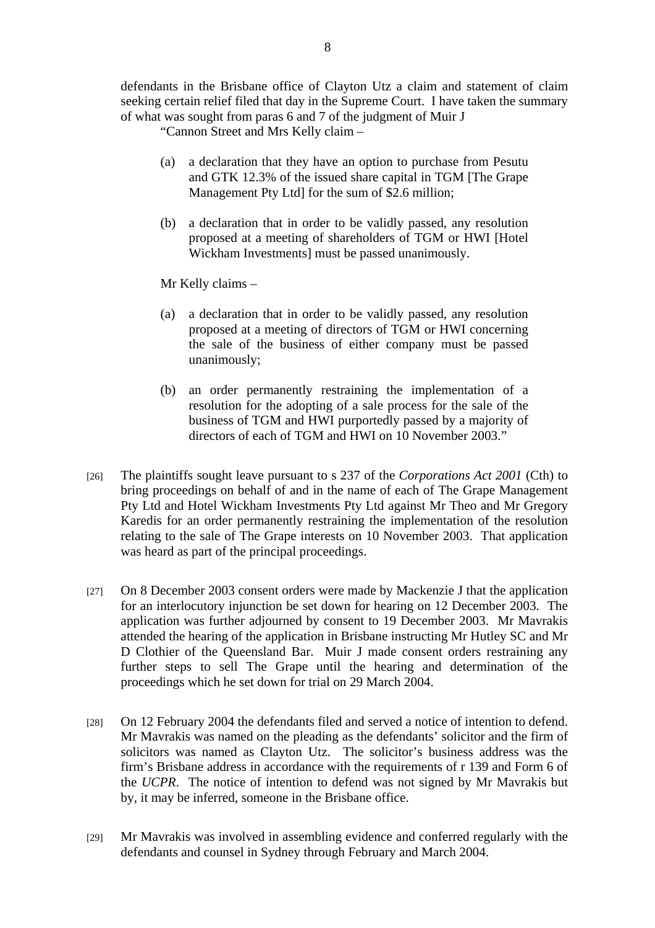defendants in the Brisbane office of Clayton Utz a claim and statement of claim seeking certain relief filed that day in the Supreme Court. I have taken the summary of what was sought from paras 6 and 7 of the judgment of Muir J

"Cannon Street and Mrs Kelly claim –

- (a) a declaration that they have an option to purchase from Pesutu and GTK 12.3% of the issued share capital in TGM [The Grape Management Pty Ltd] for the sum of \$2.6 million;
- (b) a declaration that in order to be validly passed, any resolution proposed at a meeting of shareholders of TGM or HWI [Hotel Wickham Investments] must be passed unanimously.

Mr Kelly claims –

- (a) a declaration that in order to be validly passed, any resolution proposed at a meeting of directors of TGM or HWI concerning the sale of the business of either company must be passed unanimously;
- (b) an order permanently restraining the implementation of a resolution for the adopting of a sale process for the sale of the business of TGM and HWI purportedly passed by a majority of directors of each of TGM and HWI on 10 November 2003."
- [26] The plaintiffs sought leave pursuant to s 237 of the *Corporations Act 2001* (Cth) to bring proceedings on behalf of and in the name of each of The Grape Management Pty Ltd and Hotel Wickham Investments Pty Ltd against Mr Theo and Mr Gregory Karedis for an order permanently restraining the implementation of the resolution relating to the sale of The Grape interests on 10 November 2003. That application was heard as part of the principal proceedings.
- [27] On 8 December 2003 consent orders were made by Mackenzie J that the application for an interlocutory injunction be set down for hearing on 12 December 2003. The application was further adjourned by consent to 19 December 2003. Mr Mavrakis attended the hearing of the application in Brisbane instructing Mr Hutley SC and Mr D Clothier of the Queensland Bar. Muir J made consent orders restraining any further steps to sell The Grape until the hearing and determination of the proceedings which he set down for trial on 29 March 2004.
- [28] On 12 February 2004 the defendants filed and served a notice of intention to defend. Mr Mavrakis was named on the pleading as the defendants' solicitor and the firm of solicitors was named as Clayton Utz. The solicitor's business address was the firm's Brisbane address in accordance with the requirements of r 139 and Form 6 of the *UCPR*. The notice of intention to defend was not signed by Mr Mavrakis but by, it may be inferred, someone in the Brisbane office.
- [29] Mr Mavrakis was involved in assembling evidence and conferred regularly with the defendants and counsel in Sydney through February and March 2004.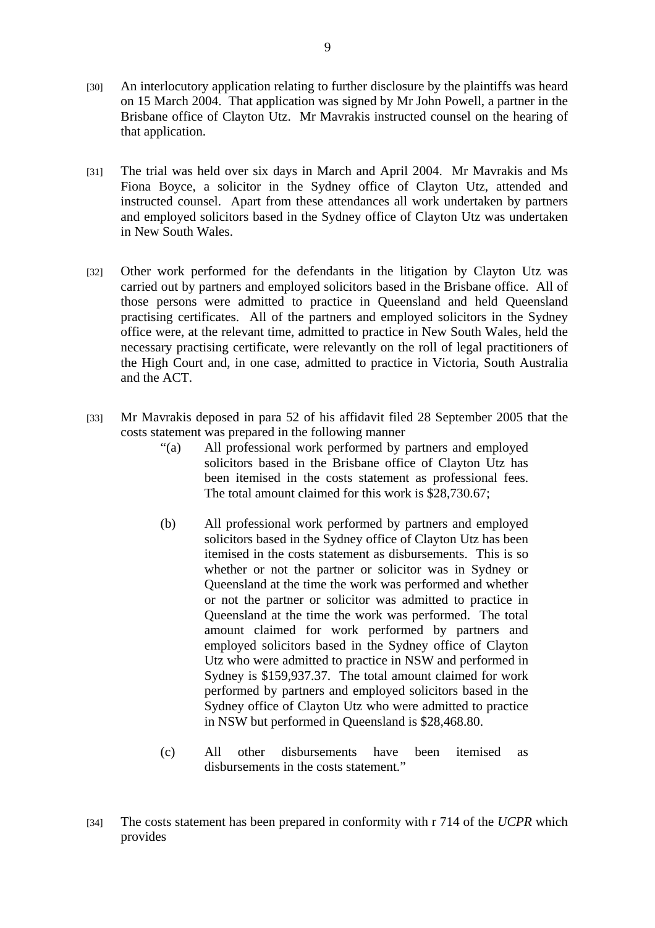- [30] An interlocutory application relating to further disclosure by the plaintiffs was heard on 15 March 2004. That application was signed by Mr John Powell, a partner in the Brisbane office of Clayton Utz. Mr Mavrakis instructed counsel on the hearing of that application.
- [31] The trial was held over six days in March and April 2004. Mr Mavrakis and Ms Fiona Boyce, a solicitor in the Sydney office of Clayton Utz, attended and instructed counsel. Apart from these attendances all work undertaken by partners and employed solicitors based in the Sydney office of Clayton Utz was undertaken in New South Wales.
- [32] Other work performed for the defendants in the litigation by Clayton Utz was carried out by partners and employed solicitors based in the Brisbane office. All of those persons were admitted to practice in Queensland and held Queensland practising certificates. All of the partners and employed solicitors in the Sydney office were, at the relevant time, admitted to practice in New South Wales, held the necessary practising certificate, were relevantly on the roll of legal practitioners of the High Court and, in one case, admitted to practice in Victoria, South Australia and the ACT.
- [33] Mr Mavrakis deposed in para 52 of his affidavit filed 28 September 2005 that the costs statement was prepared in the following manner
	- "(a) All professional work performed by partners and employed solicitors based in the Brisbane office of Clayton Utz has been itemised in the costs statement as professional fees. The total amount claimed for this work is \$28,730.67;
	- (b) All professional work performed by partners and employed solicitors based in the Sydney office of Clayton Utz has been itemised in the costs statement as disbursements. This is so whether or not the partner or solicitor was in Sydney or Queensland at the time the work was performed and whether or not the partner or solicitor was admitted to practice in Queensland at the time the work was performed. The total amount claimed for work performed by partners and employed solicitors based in the Sydney office of Clayton Utz who were admitted to practice in NSW and performed in Sydney is \$159,937.37. The total amount claimed for work performed by partners and employed solicitors based in the Sydney office of Clayton Utz who were admitted to practice in NSW but performed in Queensland is \$28,468.80.
	- (c) All other disbursements have been itemised as disbursements in the costs statement."

<sup>[34]</sup> The costs statement has been prepared in conformity with r 714 of the *UCPR* which provides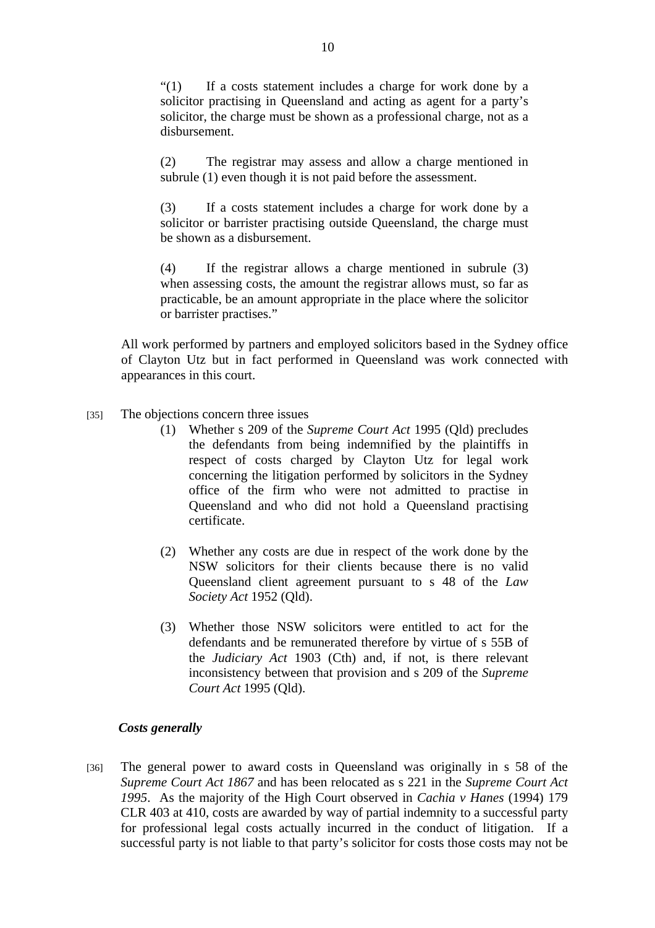"(1) If a costs statement includes a charge for work done by a solicitor practising in Queensland and acting as agent for a party's solicitor, the charge must be shown as a professional charge, not as a disbursement.

(2) The registrar may assess and allow a charge mentioned in subrule (1) even though it is not paid before the assessment.

(3) If a costs statement includes a charge for work done by a solicitor or barrister practising outside Queensland, the charge must be shown as a disbursement.

(4) If the registrar allows a charge mentioned in subrule (3) when assessing costs, the amount the registrar allows must, so far as practicable, be an amount appropriate in the place where the solicitor or barrister practises."

All work performed by partners and employed solicitors based in the Sydney office of Clayton Utz but in fact performed in Queensland was work connected with appearances in this court.

- [35] The objections concern three issues
	- (1) Whether s 209 of the *Supreme Court Act* 1995 (Qld) precludes the defendants from being indemnified by the plaintiffs in respect of costs charged by Clayton Utz for legal work concerning the litigation performed by solicitors in the Sydney office of the firm who were not admitted to practise in Queensland and who did not hold a Queensland practising certificate.
	- (2) Whether any costs are due in respect of the work done by the NSW solicitors for their clients because there is no valid Queensland client agreement pursuant to s 48 of the *Law Society Act* 1952 (Qld).
	- (3) Whether those NSW solicitors were entitled to act for the defendants and be remunerated therefore by virtue of s 55B of the *Judiciary Act* 1903 (Cth) and, if not, is there relevant inconsistency between that provision and s 209 of the *Supreme Court Act* 1995 (Qld).

## *Costs generally*

[36] The general power to award costs in Queensland was originally in s 58 of the *Supreme Court Act 1867* and has been relocated as s 221 in the *Supreme Court Act 1995*. As the majority of the High Court observed in *Cachia v Hanes* (1994) 179 CLR 403 at 410, costs are awarded by way of partial indemnity to a successful party for professional legal costs actually incurred in the conduct of litigation. If a successful party is not liable to that party's solicitor for costs those costs may not be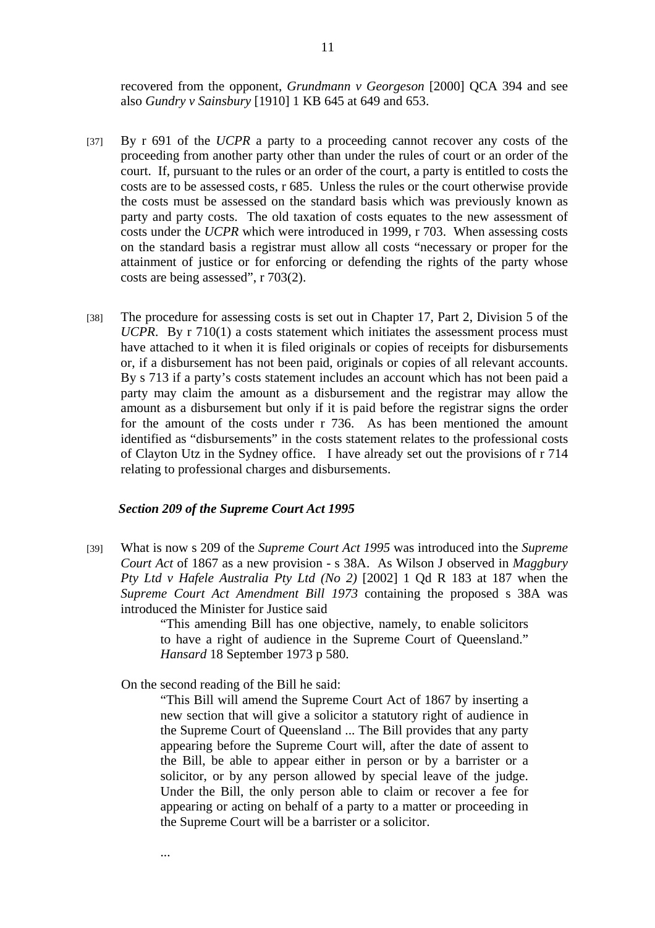recovered from the opponent, *Grundmann v Georgeson* [2000] QCA 394 and see also *Gundry v Sainsbury* [1910] 1 KB 645 at 649 and 653.

- [37] By r 691 of the *UCPR* a party to a proceeding cannot recover any costs of the proceeding from another party other than under the rules of court or an order of the court. If, pursuant to the rules or an order of the court, a party is entitled to costs the costs are to be assessed costs, r 685. Unless the rules or the court otherwise provide the costs must be assessed on the standard basis which was previously known as party and party costs. The old taxation of costs equates to the new assessment of costs under the *UCPR* which were introduced in 1999, r 703. When assessing costs on the standard basis a registrar must allow all costs "necessary or proper for the attainment of justice or for enforcing or defending the rights of the party whose costs are being assessed", r 703(2).
- [38] The procedure for assessing costs is set out in Chapter 17, Part 2, Division 5 of the *UCPR*. By r 710(1) a costs statement which initiates the assessment process must have attached to it when it is filed originals or copies of receipts for disbursements or, if a disbursement has not been paid, originals or copies of all relevant accounts. By s 713 if a party's costs statement includes an account which has not been paid a party may claim the amount as a disbursement and the registrar may allow the amount as a disbursement but only if it is paid before the registrar signs the order for the amount of the costs under r 736. As has been mentioned the amount identified as "disbursements" in the costs statement relates to the professional costs of Clayton Utz in the Sydney office. I have already set out the provisions of r 714 relating to professional charges and disbursements.

#### *Section 209 of the Supreme Court Act 1995*

[39] What is now s 209 of the *Supreme Court Act 1995* was introduced into the *Supreme Court Act* of 1867 as a new provision - s 38A. As Wilson J observed in *Maggbury Pty Ltd v Hafele Australia Pty Ltd (No 2)* [2002] 1 Qd R 183 at 187 when the *Supreme Court Act Amendment Bill 1973* containing the proposed s 38A was introduced the Minister for Justice said

> "This amending Bill has one objective, namely, to enable solicitors to have a right of audience in the Supreme Court of Queensland." *Hansard* 18 September 1973 p 580.

On the second reading of the Bill he said:

...

"This Bill will amend the Supreme Court Act of 1867 by inserting a new section that will give a solicitor a statutory right of audience in the Supreme Court of Queensland ... The Bill provides that any party appearing before the Supreme Court will, after the date of assent to the Bill, be able to appear either in person or by a barrister or a solicitor, or by any person allowed by special leave of the judge. Under the Bill, the only person able to claim or recover a fee for appearing or acting on behalf of a party to a matter or proceeding in the Supreme Court will be a barrister or a solicitor.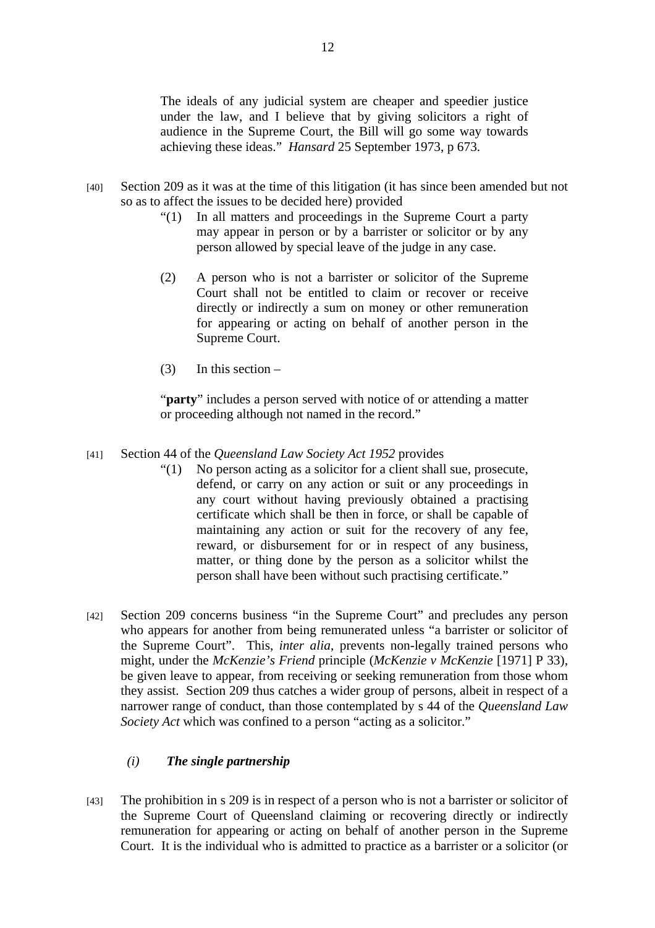The ideals of any judicial system are cheaper and speedier justice under the law, and I believe that by giving solicitors a right of audience in the Supreme Court, the Bill will go some way towards achieving these ideas." *Hansard* 25 September 1973, p 673.

- [40] Section 209 as it was at the time of this litigation (it has since been amended but not so as to affect the issues to be decided here) provided
	- "(1) In all matters and proceedings in the Supreme Court a party may appear in person or by a barrister or solicitor or by any person allowed by special leave of the judge in any case.
	- (2) A person who is not a barrister or solicitor of the Supreme Court shall not be entitled to claim or recover or receive directly or indirectly a sum on money or other remuneration for appearing or acting on behalf of another person in the Supreme Court.
	- (3) In this section –

"**party**" includes a person served with notice of or attending a matter or proceeding although not named in the record."

- [41] Section 44 of the *Queensland Law Society Act 1952* provides
	- "(1) No person acting as a solicitor for a client shall sue, prosecute, defend, or carry on any action or suit or any proceedings in any court without having previously obtained a practising certificate which shall be then in force, or shall be capable of maintaining any action or suit for the recovery of any fee, reward, or disbursement for or in respect of any business, matter, or thing done by the person as a solicitor whilst the person shall have been without such practising certificate."
- [42] Section 209 concerns business "in the Supreme Court" and precludes any person who appears for another from being remunerated unless "a barrister or solicitor of the Supreme Court". This, *inter alia*, prevents non-legally trained persons who might, under the *McKenzie's Friend* principle (*McKenzie v McKenzie* [1971] P 33), be given leave to appear, from receiving or seeking remuneration from those whom they assist. Section 209 thus catches a wider group of persons, albeit in respect of a narrower range of conduct, than those contemplated by s 44 of the *Queensland Law Society Act* which was confined to a person "acting as a solicitor."

## *(i) The single partnership*

[43] The prohibition in s 209 is in respect of a person who is not a barrister or solicitor of the Supreme Court of Queensland claiming or recovering directly or indirectly remuneration for appearing or acting on behalf of another person in the Supreme Court. It is the individual who is admitted to practice as a barrister or a solicitor (or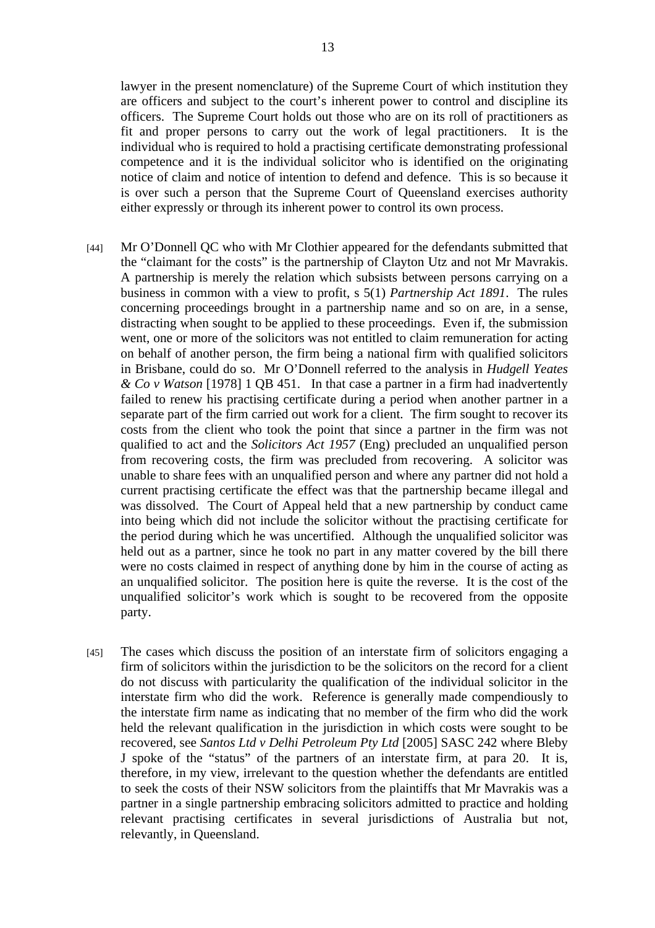lawyer in the present nomenclature) of the Supreme Court of which institution they are officers and subject to the court's inherent power to control and discipline its officers. The Supreme Court holds out those who are on its roll of practitioners as fit and proper persons to carry out the work of legal practitioners. It is the individual who is required to hold a practising certificate demonstrating professional competence and it is the individual solicitor who is identified on the originating notice of claim and notice of intention to defend and defence. This is so because it is over such a person that the Supreme Court of Queensland exercises authority either expressly or through its inherent power to control its own process.

- [44] Mr O'Donnell QC who with Mr Clothier appeared for the defendants submitted that the "claimant for the costs" is the partnership of Clayton Utz and not Mr Mavrakis. A partnership is merely the relation which subsists between persons carrying on a business in common with a view to profit, s 5(1) *Partnership Act 1891*. The rules concerning proceedings brought in a partnership name and so on are, in a sense, distracting when sought to be applied to these proceedings. Even if, the submission went, one or more of the solicitors was not entitled to claim remuneration for acting on behalf of another person, the firm being a national firm with qualified solicitors in Brisbane, could do so. Mr O'Donnell referred to the analysis in *Hudgell Yeates & Co v Watson* [1978] 1 QB 451. In that case a partner in a firm had inadvertently failed to renew his practising certificate during a period when another partner in a separate part of the firm carried out work for a client. The firm sought to recover its costs from the client who took the point that since a partner in the firm was not qualified to act and the *Solicitors Act 1957* (Eng) precluded an unqualified person from recovering costs, the firm was precluded from recovering. A solicitor was unable to share fees with an unqualified person and where any partner did not hold a current practising certificate the effect was that the partnership became illegal and was dissolved. The Court of Appeal held that a new partnership by conduct came into being which did not include the solicitor without the practising certificate for the period during which he was uncertified. Although the unqualified solicitor was held out as a partner, since he took no part in any matter covered by the bill there were no costs claimed in respect of anything done by him in the course of acting as an unqualified solicitor. The position here is quite the reverse. It is the cost of the unqualified solicitor's work which is sought to be recovered from the opposite party.
- [45] The cases which discuss the position of an interstate firm of solicitors engaging a firm of solicitors within the jurisdiction to be the solicitors on the record for a client do not discuss with particularity the qualification of the individual solicitor in the interstate firm who did the work. Reference is generally made compendiously to the interstate firm name as indicating that no member of the firm who did the work held the relevant qualification in the jurisdiction in which costs were sought to be recovered, see *Santos Ltd v Delhi Petroleum Pty Ltd* [2005] SASC 242 where Bleby J spoke of the "status" of the partners of an interstate firm, at para 20. It is, therefore, in my view, irrelevant to the question whether the defendants are entitled to seek the costs of their NSW solicitors from the plaintiffs that Mr Mavrakis was a partner in a single partnership embracing solicitors admitted to practice and holding relevant practising certificates in several jurisdictions of Australia but not, relevantly, in Queensland.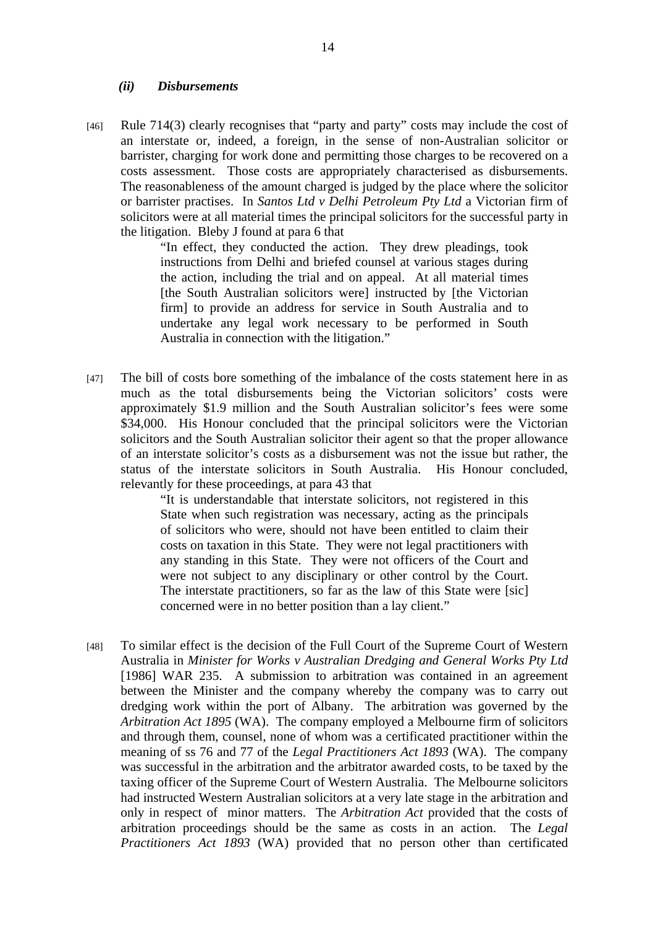#### *(ii) Disbursements*

[46] Rule 714(3) clearly recognises that "party and party" costs may include the cost of an interstate or, indeed, a foreign, in the sense of non-Australian solicitor or barrister, charging for work done and permitting those charges to be recovered on a costs assessment. Those costs are appropriately characterised as disbursements. The reasonableness of the amount charged is judged by the place where the solicitor or barrister practises. In *Santos Ltd v Delhi Petroleum Pty Ltd* a Victorian firm of solicitors were at all material times the principal solicitors for the successful party in the litigation. Bleby J found at para 6 that

> "In effect, they conducted the action. They drew pleadings, took instructions from Delhi and briefed counsel at various stages during the action, including the trial and on appeal. At all material times [the South Australian solicitors were] instructed by [the Victorian] firm] to provide an address for service in South Australia and to undertake any legal work necessary to be performed in South Australia in connection with the litigation."

[47] The bill of costs bore something of the imbalance of the costs statement here in as much as the total disbursements being the Victorian solicitors' costs were approximately \$1.9 million and the South Australian solicitor's fees were some \$34,000. His Honour concluded that the principal solicitors were the Victorian solicitors and the South Australian solicitor their agent so that the proper allowance of an interstate solicitor's costs as a disbursement was not the issue but rather, the status of the interstate solicitors in South Australia. His Honour concluded, relevantly for these proceedings, at para 43 that

> "It is understandable that interstate solicitors, not registered in this State when such registration was necessary, acting as the principals of solicitors who were, should not have been entitled to claim their costs on taxation in this State. They were not legal practitioners with any standing in this State. They were not officers of the Court and were not subject to any disciplinary or other control by the Court. The interstate practitioners, so far as the law of this State were [sic] concerned were in no better position than a lay client."

[48] To similar effect is the decision of the Full Court of the Supreme Court of Western Australia in *Minister for Works v Australian Dredging and General Works Pty Ltd* [1986] WAR 235. A submission to arbitration was contained in an agreement between the Minister and the company whereby the company was to carry out dredging work within the port of Albany. The arbitration was governed by the *Arbitration Act 1895* (WA). The company employed a Melbourne firm of solicitors and through them, counsel, none of whom was a certificated practitioner within the meaning of ss 76 and 77 of the *Legal Practitioners Act 1893* (WA). The company was successful in the arbitration and the arbitrator awarded costs, to be taxed by the taxing officer of the Supreme Court of Western Australia. The Melbourne solicitors had instructed Western Australian solicitors at a very late stage in the arbitration and only in respect of minor matters. The *Arbitration Act* provided that the costs of arbitration proceedings should be the same as costs in an action. The *Legal Practitioners Act 1893* (WA) provided that no person other than certificated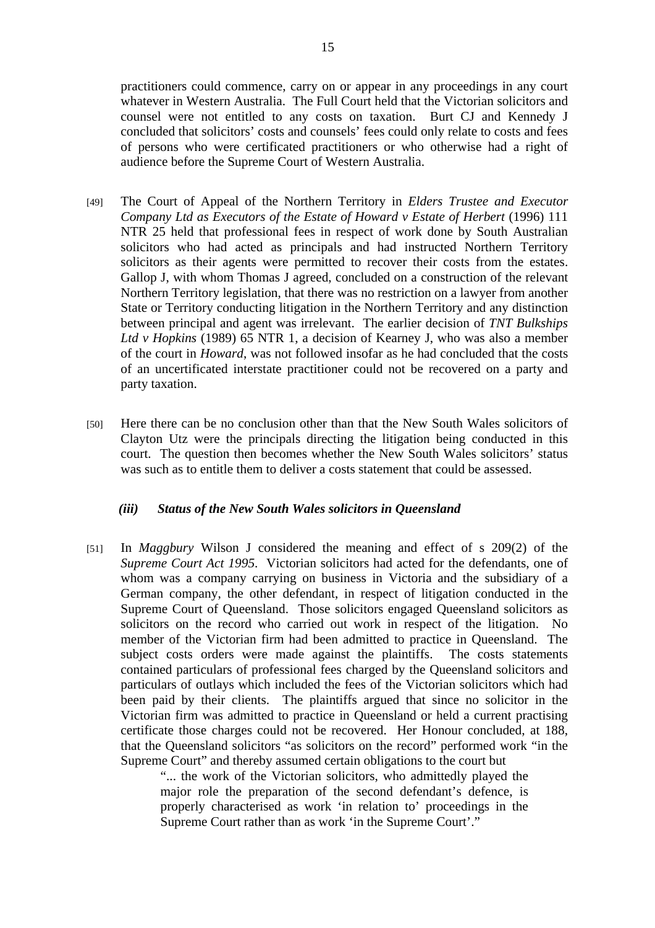practitioners could commence, carry on or appear in any proceedings in any court whatever in Western Australia. The Full Court held that the Victorian solicitors and counsel were not entitled to any costs on taxation. Burt CJ and Kennedy J concluded that solicitors' costs and counsels' fees could only relate to costs and fees of persons who were certificated practitioners or who otherwise had a right of audience before the Supreme Court of Western Australia.

- [49] The Court of Appeal of the Northern Territory in *Elders Trustee and Executor Company Ltd as Executors of the Estate of Howard v Estate of Herbert* (1996) 111 NTR 25 held that professional fees in respect of work done by South Australian solicitors who had acted as principals and had instructed Northern Territory solicitors as their agents were permitted to recover their costs from the estates. Gallop J, with whom Thomas J agreed, concluded on a construction of the relevant Northern Territory legislation, that there was no restriction on a lawyer from another State or Territory conducting litigation in the Northern Territory and any distinction between principal and agent was irrelevant. The earlier decision of *TNT Bulkships Ltd v Hopkins* (1989) 65 NTR 1, a decision of Kearney J, who was also a member of the court in *Howard*, was not followed insofar as he had concluded that the costs of an uncertificated interstate practitioner could not be recovered on a party and party taxation.
- [50] Here there can be no conclusion other than that the New South Wales solicitors of Clayton Utz were the principals directing the litigation being conducted in this court. The question then becomes whether the New South Wales solicitors' status was such as to entitle them to deliver a costs statement that could be assessed.

## *(iii) Status of the New South Wales solicitors in Queensland*

[51] In *Maggbury* Wilson J considered the meaning and effect of s 209(2) of the *Supreme Court Act 1995*. Victorian solicitors had acted for the defendants, one of whom was a company carrying on business in Victoria and the subsidiary of a German company, the other defendant, in respect of litigation conducted in the Supreme Court of Queensland. Those solicitors engaged Queensland solicitors as solicitors on the record who carried out work in respect of the litigation. No member of the Victorian firm had been admitted to practice in Queensland. The subject costs orders were made against the plaintiffs. The costs statements contained particulars of professional fees charged by the Queensland solicitors and particulars of outlays which included the fees of the Victorian solicitors which had been paid by their clients. The plaintiffs argued that since no solicitor in the Victorian firm was admitted to practice in Queensland or held a current practising certificate those charges could not be recovered. Her Honour concluded, at 188, that the Queensland solicitors "as solicitors on the record" performed work "in the Supreme Court" and thereby assumed certain obligations to the court but

> "... the work of the Victorian solicitors, who admittedly played the major role the preparation of the second defendant's defence, is properly characterised as work 'in relation to' proceedings in the Supreme Court rather than as work 'in the Supreme Court'."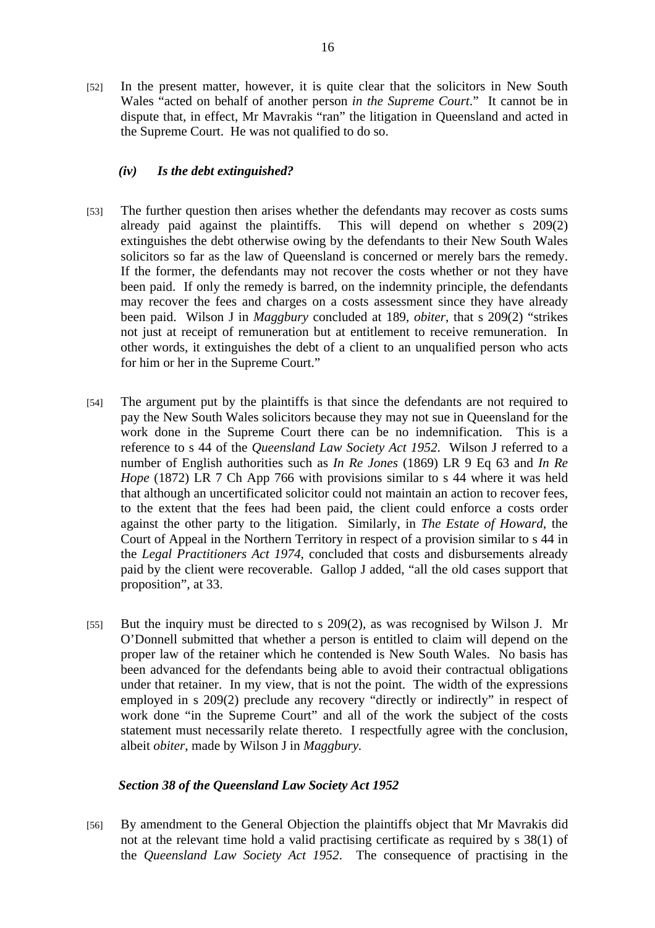[52] In the present matter, however, it is quite clear that the solicitors in New South Wales "acted on behalf of another person *in the Supreme Court*." It cannot be in dispute that, in effect, Mr Mavrakis "ran" the litigation in Queensland and acted in the Supreme Court. He was not qualified to do so.

## *(iv) Is the debt extinguished?*

- [53] The further question then arises whether the defendants may recover as costs sums already paid against the plaintiffs. This will depend on whether s 209(2) extinguishes the debt otherwise owing by the defendants to their New South Wales solicitors so far as the law of Queensland is concerned or merely bars the remedy. If the former, the defendants may not recover the costs whether or not they have been paid. If only the remedy is barred, on the indemnity principle, the defendants may recover the fees and charges on a costs assessment since they have already been paid. Wilson J in *Maggbury* concluded at 189, *obiter*, that s 209(2) "strikes not just at receipt of remuneration but at entitlement to receive remuneration. In other words, it extinguishes the debt of a client to an unqualified person who acts for him or her in the Supreme Court."
- [54] The argument put by the plaintiffs is that since the defendants are not required to pay the New South Wales solicitors because they may not sue in Queensland for the work done in the Supreme Court there can be no indemnification. This is a reference to s 44 of the *Queensland Law Society Act 1952*. Wilson J referred to a number of English authorities such as *In Re Jones* (1869) LR 9 Eq 63 and *In Re Hope* (1872) LR 7 Ch App 766 with provisions similar to s 44 where it was held that although an uncertificated solicitor could not maintain an action to recover fees, to the extent that the fees had been paid, the client could enforce a costs order against the other party to the litigation. Similarly, in *The Estate of Howard*, the Court of Appeal in the Northern Territory in respect of a provision similar to s 44 in the *Legal Practitioners Act 1974*, concluded that costs and disbursements already paid by the client were recoverable. Gallop J added, "all the old cases support that proposition", at 33.
- [55] But the inquiry must be directed to s 209(2), as was recognised by Wilson J. Mr O'Donnell submitted that whether a person is entitled to claim will depend on the proper law of the retainer which he contended is New South Wales. No basis has been advanced for the defendants being able to avoid their contractual obligations under that retainer. In my view, that is not the point. The width of the expressions employed in s 209(2) preclude any recovery "directly or indirectly" in respect of work done "in the Supreme Court" and all of the work the subject of the costs statement must necessarily relate thereto. I respectfully agree with the conclusion, albeit *obiter*, made by Wilson J in *Maggbury.*

# *Section 38 of the Queensland Law Society Act 1952*

[56] By amendment to the General Objection the plaintiffs object that Mr Mavrakis did not at the relevant time hold a valid practising certificate as required by s 38(1) of the *Queensland Law Society Act 1952*. The consequence of practising in the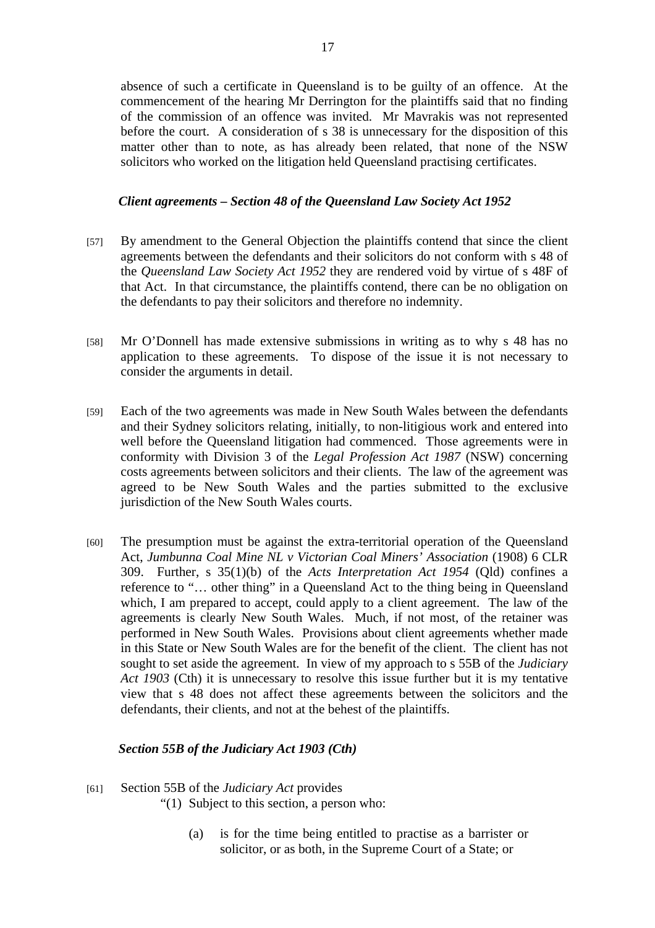absence of such a certificate in Queensland is to be guilty of an offence. At the commencement of the hearing Mr Derrington for the plaintiffs said that no finding of the commission of an offence was invited. Mr Mavrakis was not represented before the court. A consideration of s 38 is unnecessary for the disposition of this matter other than to note, as has already been related, that none of the NSW solicitors who worked on the litigation held Queensland practising certificates.

## *Client agreements – Section 48 of the Queensland Law Society Act 1952*

- [57] By amendment to the General Objection the plaintiffs contend that since the client agreements between the defendants and their solicitors do not conform with s 48 of the *Queensland Law Society Act 1952* they are rendered void by virtue of s 48F of that Act. In that circumstance, the plaintiffs contend, there can be no obligation on the defendants to pay their solicitors and therefore no indemnity.
- [58] Mr O'Donnell has made extensive submissions in writing as to why s 48 has no application to these agreements. To dispose of the issue it is not necessary to consider the arguments in detail.
- [59] Each of the two agreements was made in New South Wales between the defendants and their Sydney solicitors relating, initially, to non-litigious work and entered into well before the Queensland litigation had commenced. Those agreements were in conformity with Division 3 of the *Legal Profession Act 1987* (NSW) concerning costs agreements between solicitors and their clients. The law of the agreement was agreed to be New South Wales and the parties submitted to the exclusive jurisdiction of the New South Wales courts.
- [60] The presumption must be against the extra-territorial operation of the Queensland Act, *Jumbunna Coal Mine NL v Victorian Coal Miners' Association* (1908) 6 CLR 309. Further, s 35(1)(b) of the *Acts Interpretation Act 1954* (Qld) confines a reference to "… other thing" in a Queensland Act to the thing being in Queensland which, I am prepared to accept, could apply to a client agreement. The law of the agreements is clearly New South Wales. Much, if not most, of the retainer was performed in New South Wales. Provisions about client agreements whether made in this State or New South Wales are for the benefit of the client. The client has not sought to set aside the agreement. In view of my approach to s 55B of the *Judiciary Act 1903* (Cth) it is unnecessary to resolve this issue further but it is my tentative view that s 48 does not affect these agreements between the solicitors and the defendants, their clients, and not at the behest of the plaintiffs.

# *Section 55B of the Judiciary Act 1903 (Cth)*

[61] Section 55B of the *Judiciary Act* provides

"(1) Subject to this section, a person who:

(a) is for the time being entitled to practise as a barrister or solicitor, or as both, in the Supreme Court of a State; or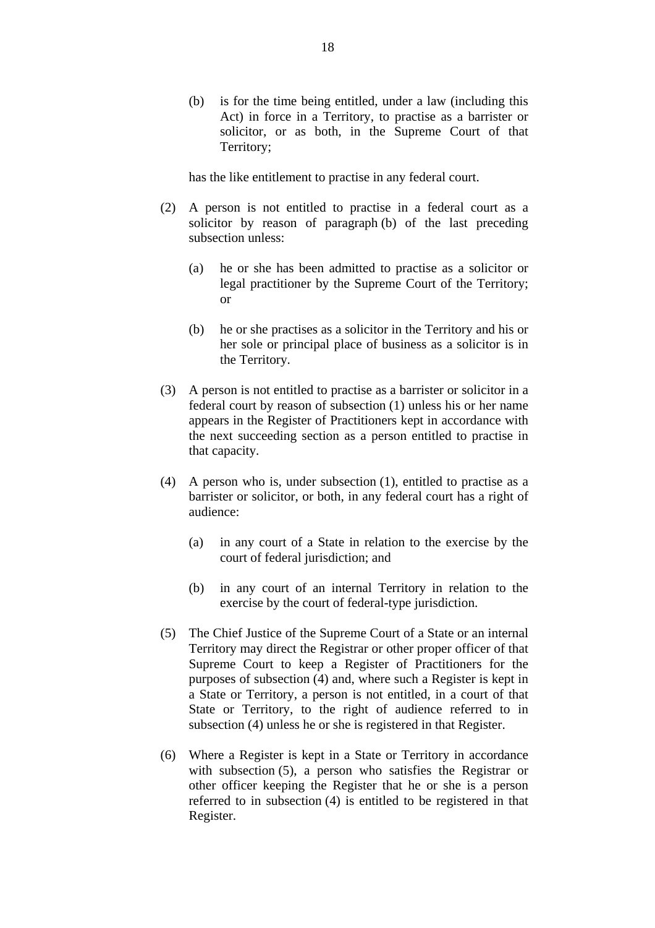(b) is for the time being entitled, under a law (including this Act) in force in a Territory, to practise as a barrister or solicitor, or as both, in the Supreme Court of that Territory;

has the like entitlement to practise in any federal court.

- (2) A person is not entitled to practise in a federal court as a solicitor by reason of paragraph (b) of the last preceding subsection unless:
	- (a) he or she has been admitted to practise as a solicitor or legal practitioner by the Supreme Court of the Territory; or
	- (b) he or she practises as a solicitor in the Territory and his or her sole or principal place of business as a solicitor is in the Territory.
- (3) A person is not entitled to practise as a barrister or solicitor in a federal court by reason of subsection (1) unless his or her name appears in the Register of Practitioners kept in accordance with the next succeeding section as a person entitled to practise in that capacity.
- (4) A person who is, under subsection (1), entitled to practise as a barrister or solicitor, or both, in any federal court has a right of audience:
	- (a) in any court of a State in relation to the exercise by the court of federal jurisdiction; and
	- (b) in any court of an internal Territory in relation to the exercise by the court of federal-type jurisdiction.
- (5) The Chief Justice of the Supreme Court of a State or an internal Territory may direct the Registrar or other proper officer of that Supreme Court to keep a Register of Practitioners for the purposes of subsection (4) and, where such a Register is kept in a State or Territory, a person is not entitled, in a court of that State or Territory, to the right of audience referred to in subsection (4) unless he or she is registered in that Register.
- (6) Where a Register is kept in a State or Territory in accordance with subsection (5), a person who satisfies the Registrar or other officer keeping the Register that he or she is a person referred to in subsection (4) is entitled to be registered in that Register.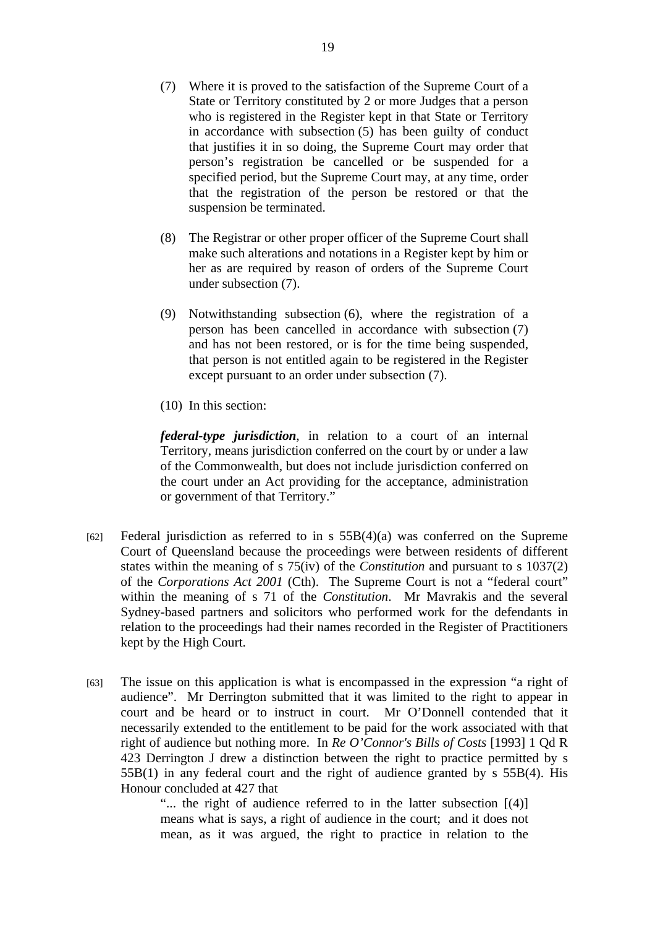- (7) Where it is proved to the satisfaction of the Supreme Court of a State or Territory constituted by 2 or more Judges that a person who is registered in the Register kept in that State or Territory in accordance with subsection (5) has been guilty of conduct that justifies it in so doing, the Supreme Court may order that person's registration be cancelled or be suspended for a specified period, but the Supreme Court may, at any time, order that the registration of the person be restored or that the suspension be terminated.
- (8) The Registrar or other proper officer of the Supreme Court shall make such alterations and notations in a Register kept by him or her as are required by reason of orders of the Supreme Court under subsection (7).
- (9) Notwithstanding subsection (6), where the registration of a person has been cancelled in accordance with subsection (7) and has not been restored, or is for the time being suspended, that person is not entitled again to be registered in the Register except pursuant to an order under subsection (7).
- (10) In this section:

*federal-type jurisdiction*, in relation to a court of an internal Territory, means jurisdiction conferred on the court by or under a law of the Commonwealth, but does not include jurisdiction conferred on the court under an Act providing for the acceptance, administration or government of that Territory."

- [62] Federal jurisdiction as referred to in s  $55B(4)(a)$  was conferred on the Supreme Court of Queensland because the proceedings were between residents of different states within the meaning of s 75(iv) of the *Constitution* and pursuant to s 1037(2) of the *Corporations Act 2001* (Cth). The Supreme Court is not a "federal court" within the meaning of s 71 of the *Constitution*. Mr Mavrakis and the several Sydney-based partners and solicitors who performed work for the defendants in relation to the proceedings had their names recorded in the Register of Practitioners kept by the High Court.
- [63] The issue on this application is what is encompassed in the expression "a right of audience". Mr Derrington submitted that it was limited to the right to appear in court and be heard or to instruct in court. Mr O'Donnell contended that it necessarily extended to the entitlement to be paid for the work associated with that right of audience but nothing more. In *Re O'Connor's Bills of Costs* [1993] 1 Qd R 423 Derrington J drew a distinction between the right to practice permitted by s 55B(1) in any federal court and the right of audience granted by s 55B(4). His Honour concluded at 427 that

"... the right of audience referred to in the latter subsection [(4)] means what is says, a right of audience in the court; and it does not mean, as it was argued, the right to practice in relation to the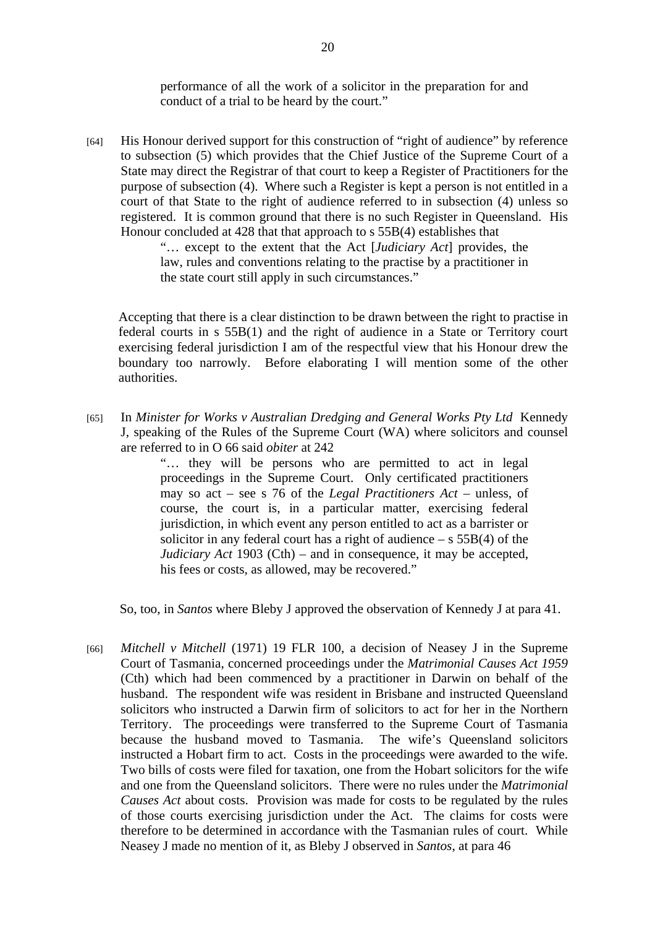performance of all the work of a solicitor in the preparation for and conduct of a trial to be heard by the court."

[64] His Honour derived support for this construction of "right of audience" by reference to subsection (5) which provides that the Chief Justice of the Supreme Court of a State may direct the Registrar of that court to keep a Register of Practitioners for the purpose of subsection (4). Where such a Register is kept a person is not entitled in a court of that State to the right of audience referred to in subsection (4) unless so registered. It is common ground that there is no such Register in Queensland. His Honour concluded at 428 that that approach to s 55B(4) establishes that

> "… except to the extent that the Act [*Judiciary Act*] provides, the law, rules and conventions relating to the practise by a practitioner in the state court still apply in such circumstances."

Accepting that there is a clear distinction to be drawn between the right to practise in federal courts in s 55B(1) and the right of audience in a State or Territory court exercising federal jurisdiction I am of the respectful view that his Honour drew the boundary too narrowly. Before elaborating I will mention some of the other authorities.

[65] In *Minister for Works v Australian Dredging and General Works Pty Ltd* Kennedy J, speaking of the Rules of the Supreme Court (WA) where solicitors and counsel are referred to in O 66 said *obiter* at 242

> "… they will be persons who are permitted to act in legal proceedings in the Supreme Court. Only certificated practitioners may so act – see s 76 of the *Legal Practitioners Act* – unless, of course, the court is, in a particular matter, exercising federal jurisdiction, in which event any person entitled to act as a barrister or solicitor in any federal court has a right of audience  $-$  s 55B(4) of the *Judiciary Act* 1903 (Cth) – and in consequence, it may be accepted, his fees or costs, as allowed, may be recovered."

So, too, in *Santos* where Bleby J approved the observation of Kennedy J at para 41.

[66] *Mitchell v Mitchell* (1971) 19 FLR 100, a decision of Neasey J in the Supreme Court of Tasmania, concerned proceedings under the *Matrimonial Causes Act 1959*  (Cth) which had been commenced by a practitioner in Darwin on behalf of the husband. The respondent wife was resident in Brisbane and instructed Queensland solicitors who instructed a Darwin firm of solicitors to act for her in the Northern Territory. The proceedings were transferred to the Supreme Court of Tasmania because the husband moved to Tasmania. The wife's Queensland solicitors instructed a Hobart firm to act. Costs in the proceedings were awarded to the wife. Two bills of costs were filed for taxation, one from the Hobart solicitors for the wife and one from the Queensland solicitors. There were no rules under the *Matrimonial Causes Act* about costs. Provision was made for costs to be regulated by the rules of those courts exercising jurisdiction under the Act. The claims for costs were therefore to be determined in accordance with the Tasmanian rules of court. While Neasey J made no mention of it, as Bleby J observed in *Santos*, at para 46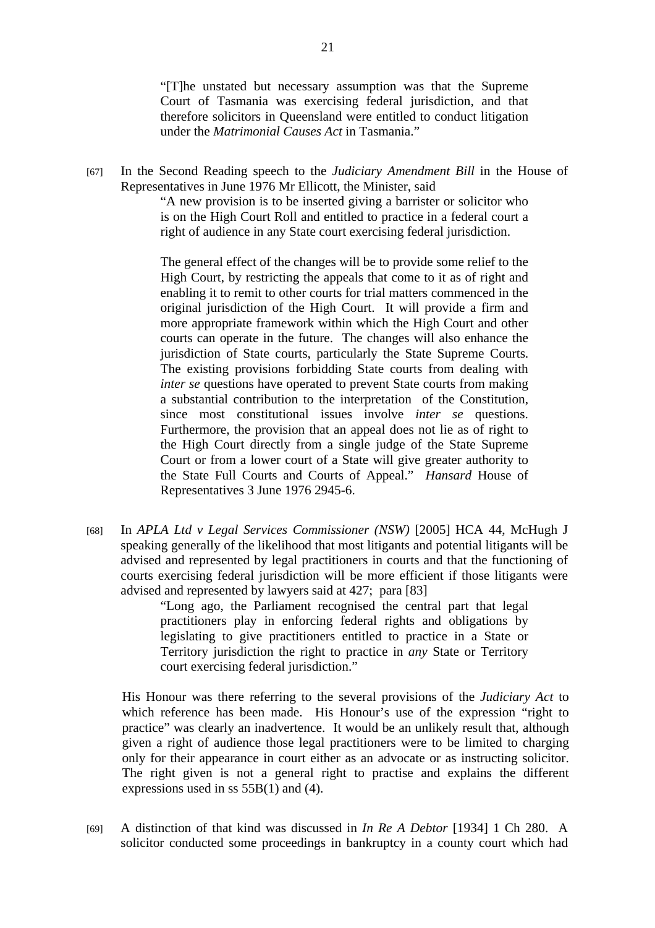"[T]he unstated but necessary assumption was that the Supreme Court of Tasmania was exercising federal jurisdiction, and that therefore solicitors in Queensland were entitled to conduct litigation under the *Matrimonial Causes Act* in Tasmania."

[67] In the Second Reading speech to the *Judiciary Amendment Bill* in the House of Representatives in June 1976 Mr Ellicott, the Minister, said

> "A new provision is to be inserted giving a barrister or solicitor who is on the High Court Roll and entitled to practice in a federal court a right of audience in any State court exercising federal jurisdiction.

> The general effect of the changes will be to provide some relief to the High Court, by restricting the appeals that come to it as of right and enabling it to remit to other courts for trial matters commenced in the original jurisdiction of the High Court. It will provide a firm and more appropriate framework within which the High Court and other courts can operate in the future. The changes will also enhance the jurisdiction of State courts, particularly the State Supreme Courts. The existing provisions forbidding State courts from dealing with *inter se* questions have operated to prevent State courts from making a substantial contribution to the interpretation of the Constitution, since most constitutional issues involve *inter se* questions. Furthermore, the provision that an appeal does not lie as of right to the High Court directly from a single judge of the State Supreme Court or from a lower court of a State will give greater authority to the State Full Courts and Courts of Appeal." *Hansard* House of Representatives 3 June 1976 2945-6.

[68] In *APLA Ltd v Legal Services Commissioner (NSW)* [2005] HCA 44, McHugh J speaking generally of the likelihood that most litigants and potential litigants will be advised and represented by legal practitioners in courts and that the functioning of courts exercising federal jurisdiction will be more efficient if those litigants were advised and represented by lawyers said at 427; para [83]

> "Long ago, the Parliament recognised the central part that legal practitioners play in enforcing federal rights and obligations by legislating to give practitioners entitled to practice in a State or Territory jurisdiction the right to practice in *any* State or Territory court exercising federal jurisdiction."

His Honour was there referring to the several provisions of the *Judiciary Act* to which reference has been made. His Honour's use of the expression "right to practice" was clearly an inadvertence. It would be an unlikely result that, although given a right of audience those legal practitioners were to be limited to charging only for their appearance in court either as an advocate or as instructing solicitor. The right given is not a general right to practise and explains the different expressions used in ss 55B(1) and (4).

[69] A distinction of that kind was discussed in *In Re A Debtor* [1934] 1 Ch 280. A solicitor conducted some proceedings in bankruptcy in a county court which had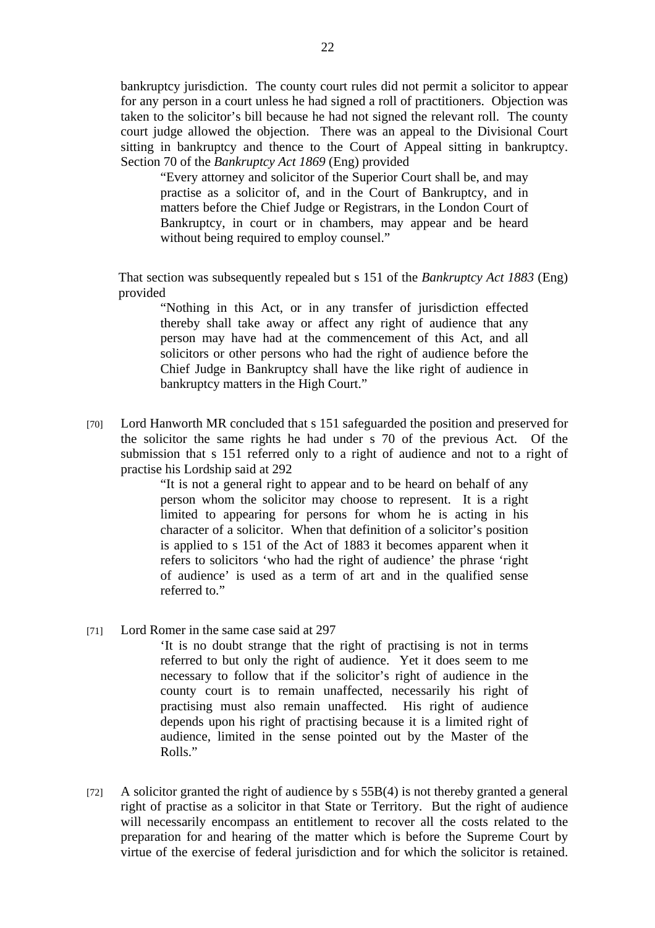bankruptcy jurisdiction. The county court rules did not permit a solicitor to appear for any person in a court unless he had signed a roll of practitioners. Objection was taken to the solicitor's bill because he had not signed the relevant roll. The county court judge allowed the objection. There was an appeal to the Divisional Court sitting in bankruptcy and thence to the Court of Appeal sitting in bankruptcy. Section 70 of the *Bankruptcy Act 1869* (Eng) provided

"Every attorney and solicitor of the Superior Court shall be, and may practise as a solicitor of, and in the Court of Bankruptcy, and in matters before the Chief Judge or Registrars, in the London Court of Bankruptcy, in court or in chambers, may appear and be heard without being required to employ counsel."

That section was subsequently repealed but s 151 of the *Bankruptcy Act 1883* (Eng) provided

"Nothing in this Act, or in any transfer of jurisdiction effected thereby shall take away or affect any right of audience that any person may have had at the commencement of this Act, and all solicitors or other persons who had the right of audience before the Chief Judge in Bankruptcy shall have the like right of audience in bankruptcy matters in the High Court."

[70] Lord Hanworth MR concluded that s 151 safeguarded the position and preserved for the solicitor the same rights he had under s 70 of the previous Act. Of the submission that s 151 referred only to a right of audience and not to a right of practise his Lordship said at 292

> "It is not a general right to appear and to be heard on behalf of any person whom the solicitor may choose to represent. It is a right limited to appearing for persons for whom he is acting in his character of a solicitor. When that definition of a solicitor's position is applied to s 151 of the Act of 1883 it becomes apparent when it refers to solicitors 'who had the right of audience' the phrase 'right of audience' is used as a term of art and in the qualified sense referred to."

[71] Lord Romer in the same case said at 297

'It is no doubt strange that the right of practising is not in terms referred to but only the right of audience. Yet it does seem to me necessary to follow that if the solicitor's right of audience in the county court is to remain unaffected, necessarily his right of practising must also remain unaffected. His right of audience depends upon his right of practising because it is a limited right of audience, limited in the sense pointed out by the Master of the Rolls."

[72] A solicitor granted the right of audience by s 55B(4) is not thereby granted a general right of practise as a solicitor in that State or Territory. But the right of audience will necessarily encompass an entitlement to recover all the costs related to the preparation for and hearing of the matter which is before the Supreme Court by virtue of the exercise of federal jurisdiction and for which the solicitor is retained.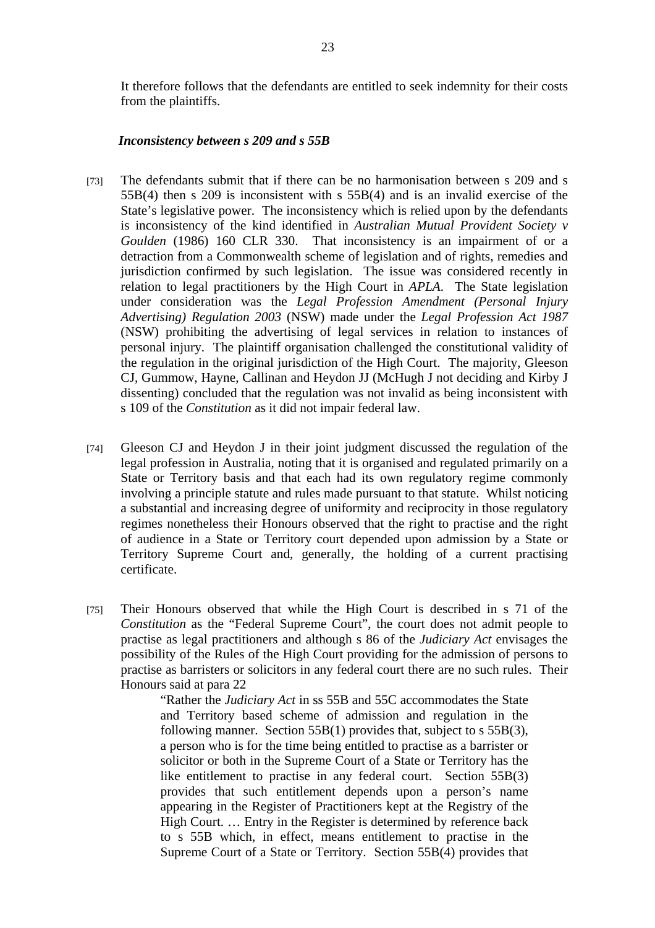It therefore follows that the defendants are entitled to seek indemnity for their costs from the plaintiffs.

#### *Inconsistency between s 209 and s 55B*

- [73] The defendants submit that if there can be no harmonisation between s 209 and s 55B(4) then s 209 is inconsistent with s 55B(4) and is an invalid exercise of the State's legislative power. The inconsistency which is relied upon by the defendants is inconsistency of the kind identified in *Australian Mutual Provident Society v Goulden* (1986) 160 CLR 330. That inconsistency is an impairment of or a detraction from a Commonwealth scheme of legislation and of rights, remedies and jurisdiction confirmed by such legislation. The issue was considered recently in relation to legal practitioners by the High Court in *APLA*. The State legislation under consideration was the *Legal Profession Amendment (Personal Injury Advertising) Regulation 2003* (NSW) made under the *Legal Profession Act 1987* (NSW) prohibiting the advertising of legal services in relation to instances of personal injury. The plaintiff organisation challenged the constitutional validity of the regulation in the original jurisdiction of the High Court. The majority, Gleeson CJ, Gummow, Hayne, Callinan and Heydon JJ (McHugh J not deciding and Kirby J dissenting) concluded that the regulation was not invalid as being inconsistent with s 109 of the *Constitution* as it did not impair federal law.
- [74] Gleeson CJ and Heydon J in their joint judgment discussed the regulation of the legal profession in Australia, noting that it is organised and regulated primarily on a State or Territory basis and that each had its own regulatory regime commonly involving a principle statute and rules made pursuant to that statute. Whilst noticing a substantial and increasing degree of uniformity and reciprocity in those regulatory regimes nonetheless their Honours observed that the right to practise and the right of audience in a State or Territory court depended upon admission by a State or Territory Supreme Court and, generally, the holding of a current practising certificate.
- [75] Their Honours observed that while the High Court is described in s 71 of the *Constitution* as the "Federal Supreme Court", the court does not admit people to practise as legal practitioners and although s 86 of the *Judiciary Act* envisages the possibility of the Rules of the High Court providing for the admission of persons to practise as barristers or solicitors in any federal court there are no such rules. Their Honours said at para 22

"Rather the *Judiciary Act* in ss 55B and 55C accommodates the State and Territory based scheme of admission and regulation in the following manner. Section 55B(1) provides that, subject to s 55B(3), a person who is for the time being entitled to practise as a barrister or solicitor or both in the Supreme Court of a State or Territory has the like entitlement to practise in any federal court. Section 55B(3) provides that such entitlement depends upon a person's name appearing in the Register of Practitioners kept at the Registry of the High Court. … Entry in the Register is determined by reference back to s 55B which, in effect, means entitlement to practise in the Supreme Court of a State or Territory. Section 55B(4) provides that